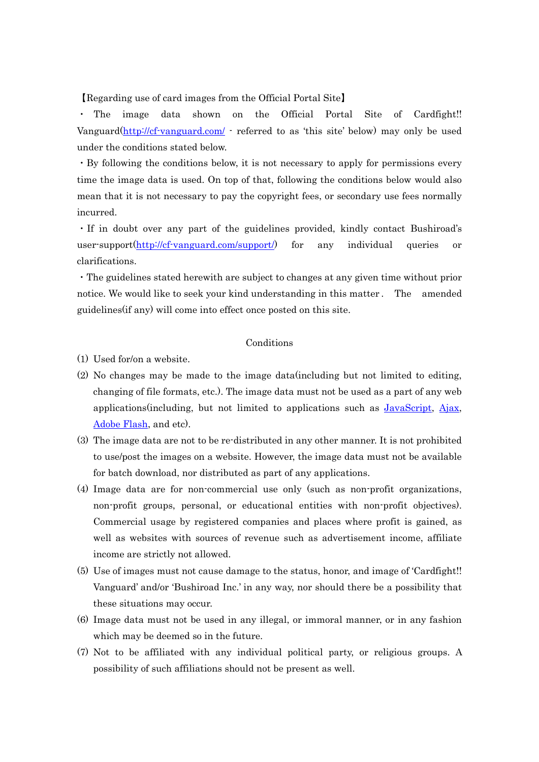## 【Regarding use of card images from the Official Portal Site】

・ The image data shown on the Official Portal Site of Cardfight!! Vanguard(http://cf-vanguard.com/ - referred to as 'this site' below) may only be used under the conditions stated below.

・By following the conditions below, it is not necessary to apply for permissions every time the image data is used. On top of that, following the conditions below would also mean that it is not necessary to pay the copyright fees, or secondary use fees normally incurred.

・If in doubt over any part of the guidelines provided, kindly contact Bushiroad's user-support(http://cf-vanguard.com/support/) for any individual queries or clarifications.

・The guidelines stated herewith are subject to changes at any given time without prior notice. We would like to seek your kind understanding in this matter . The amended guidelines(if any) will come into effect once posted on this site.

## Conditions

(1) Used for/on a website.

- (2) No changes may be made to the image data(including but not limited to editing, changing of file formats, etc.). The image data must not be used as a part of any web applications(including, but not limited to applications such as JavaScript, Ajax, Adobe Flash, and etc).
- (3) The image data are not to be re-distributed in any other manner. It is not prohibited to use/post the images on a website. However, the image data must not be available for batch download, nor distributed as part of any applications.
- (4) Image data are for non-commercial use only (such as non-profit organizations, non-profit groups, personal, or educational entities with non-profit objectives). Commercial usage by registered companies and places where profit is gained, as well as websites with sources of revenue such as advertisement income, affiliate income are strictly not allowed.
- (5) Use of images must not cause damage to the status, honor, and image of 'Cardfight!! Vanguard' and/or 'Bushiroad Inc.' in any way, nor should there be a possibility that these situations may occur.
- (6) Image data must not be used in any illegal, or immoral manner, or in any fashion which may be deemed so in the future.
- (7) Not to be affiliated with any individual political party, or religious groups. A possibility of such affiliations should not be present as well.